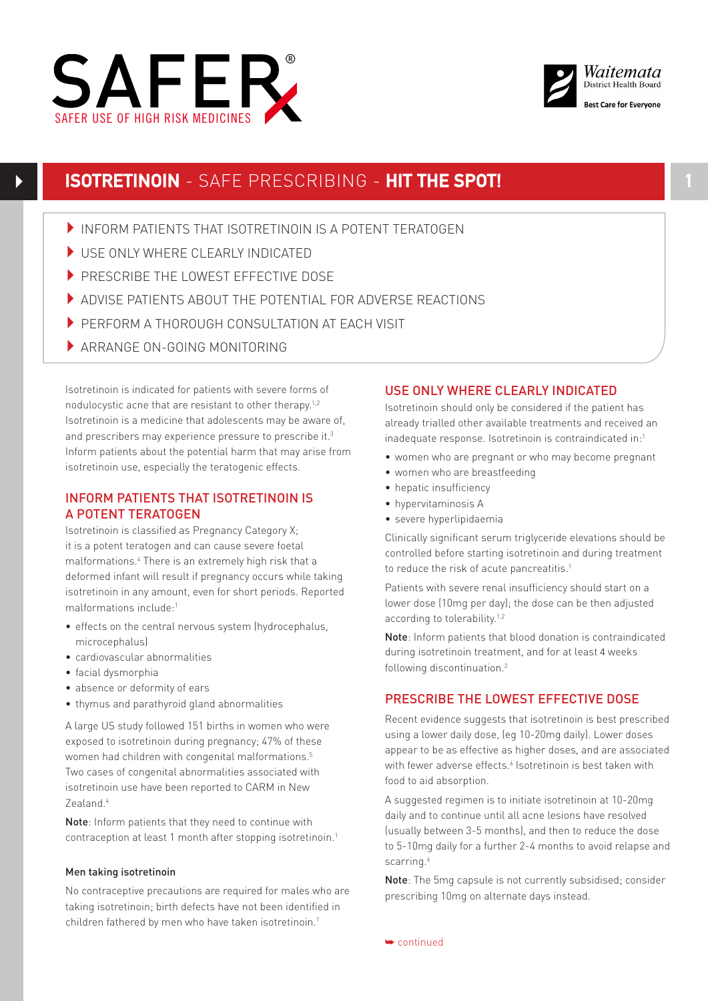



# **ISOTRETINOIN** - SAFE PRESCRIBING - **HIT THE SPOT!**

- INFORM PATIENTS THAT ISOTRETINOIN IS A POTENT TERATOGEN
- USE ONLY WHERE CLEARLY INDICATED
- PRESCRIBE THE LOWEST EFFECTIVE DOSE
- 4ADVISE PATIENTS ABOUT THE POTENTIAL FOR ADVERSE REACTIONS
- **PERFORM A THOROUGH CONSULTATION AT FACH VISIT**
- ARRANGE ON-GOING MONITORING

Isotretinoin is indicated for patients with severe forms of nodulocystic acne that are resistant to other therapy.<sup>1,2</sup> Isotretinoin is a medicine that adolescents may be aware of, and prescribers may experience pressure to prescribe it.<sup>3</sup> Inform patients about the potential harm that may arise from isotretinoin use, especially the teratogenic effects.

# INFORM PATIENTS THAT ISOTRETINOIN IS A POTENT TERATOGEN

Isotretinoin is classified as Pregnancy Category X; it is a potent teratogen and can cause severe foetal malformations.4 There is an extremely high risk that a deformed infant will result if pregnancy occurs while taking isotretinoin in any amount, even for short periods. Reported malformations include:1

- effects on the central nervous system (hydrocephalus, microcephalus)
- cardiovascular abnormalities
- facial dysmorphia
- absence or deformity of ears
- thymus and parathyroid gland abnormalities

A large US study followed 151 births in women who were exposed to isotretinoin during pregnancy; 47% of these women had children with congenital malformations.<sup>5</sup> Two cases of congenital abnormalities associated with isotretinoin use have been reported to CARM in New Zealand.4

Note: Inform patients that they need to continue with contraception at least 1 month after stopping isotretinoin.1

# Men taking isotretinoin

No contraceptive precautions are required for males who are taking isotretinoin; birth defects have not been identified in children fathered by men who have taken isotretinoin.<sup>1</sup>

# USE ONLY WHERE CLEARLY INDICATED

Isotretinoin should only be considered if the patient has already trialled other available treatments and received an inadequate response. Isotretinoin is contraindicated in:1

- women who are pregnant or who may become pregnant
- women who are breastfeeding
- hepatic insufficiency
- hypervitaminosis A
- severe hyperlipidaemia

Clinically significant serum triglyceride elevations should be controlled before starting isotretinoin and during treatment to reduce the risk of acute pancreatitis.<sup>1</sup>

Patients with severe renal insufficiency should start on a lower dose (10mg per day); the dose can be then adjusted according to tolerability.<sup>1,2</sup>

Note: Inform patients that blood donation is contraindicated during isotretinoin treatment, and for at least 4 weeks following discontinuation.<sup>2</sup>

# PRESCRIBE THE LOWEST EFFECTIVE DOSE

Recent evidence suggests that isotretinoin is best prescribed using a lower daily dose, (eg 10-20mg daily). Lower doses appear to be as effective as higher doses, and are associated with fewer adverse effects.<sup>6</sup> Isotretinoin is best taken with food to aid absorption.

A suggested regimen is to initiate isotretinoin at 10-20mg daily and to continue until all acne lesions have resolved (usually between 3-5 months), and then to reduce the dose to 5-10mg daily for a further 2-4 months to avoid relapse and scarring.<sup>6</sup>

Note: The 5mg capsule is not currently subsidised; consider prescribing 10mg on alternate days instead.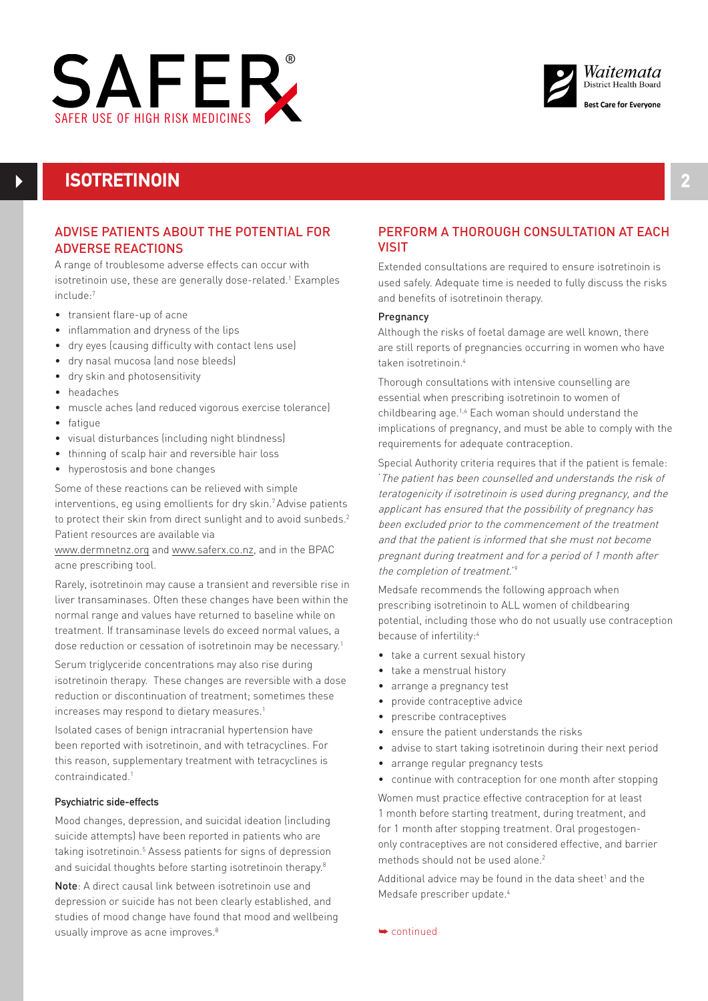



# **ISOTRETINOIN**

# ADVISE PATIENTS ABOUT THE POTENTIAL FOR ADVERSE REACTIONS

A range of troublesome adverse effects can occur with isotretinoin use, these are generally dose-related.<sup>1</sup> Examples include:7

- transient flare-up of acne
- $\bullet$  inflammation and dryness of the lips
- dry eyes (causing difficulty with contact lens use)
- dry nasal mucosa (and nose bleeds)
- dry skin and photosensitivity
- headaches
- muscle aches (and reduced vigorous exercise tolerance)
- fatigue
- visual disturbances (including night blindness)
- thinning of scalp hair and reversible hair loss
- hyperostosis and bone changes

Some of these reactions can be relieved with simple interventions, eg using emollients for dry skin.<sup>7</sup> Advise patients to protect their skin from direct sunlight and to avoid sunbeds.<sup>2</sup> Patient resources are available via

www.dermnetnz.org and www.saferx.co.nz, and in the BPAC acne prescribing tool.

Rarely, isotretinoin may cause a transient and reversible rise in liver transaminases. Often these changes have been within the normal range and values have returned to baseline while on treatment. If transaminase levels do exceed normal values, a dose reduction or cessation of isotretinoin may be necessary.<sup>1</sup>

Serum triglyceride concentrations may also rise during isotretinoin therapy. These changes are reversible with a dose reduction or discontinuation of treatment; sometimes these increases may respond to dietary measures.<sup>1</sup>

Isolated cases of benign intracranial hypertension have been reported with isotretinoin, and with tetracyclines. For this reason, supplementary treatment with tetracyclines is contraindicated.1

## Psychiatric side-effects

Mood changes, depression, and suicidal ideation (including suicide attempts) have been reported in patients who are taking isotretinoin.<sup>5</sup> Assess patients for signs of depression and suicidal thoughts before starting isotretinoin therapy.<sup>8</sup>

Note: A direct causal link between isotretinoin use and depression or suicide has not been clearly established, and studies of mood change have found that mood and wellbeing usually improve as acne improves.<sup>8</sup>

# PERFORM A THOROUGH CONSULTATION AT FACH VISIT

Extended consultations are required to ensure isotretinoin is used safely. Adequate time is needed to fully discuss the risks and benefits of isotretinoin therapy.

### Pregnancy

Although the risks of foetal damage are well known, there are still reports of pregnancies occurring in women who have taken isotretinoin.4

Thorough consultations with intensive counselling are essential when prescribing isotretinoin to women of childbearing age.1,4 Each woman should understand the implications of pregnancy, and must be able to comply with the requirements for adequate contraception.

Special Authority criteria requires that if the patient is female: 'The patient has been counselled and understands the risk of teratogenicity if isotretinoin is used during pregnancy, and the applicant has ensured that the possibility of pregnancy has been excluded prior to the commencement of the treatment and that the patient is informed that she must not become pregnant during treatment and for a period of 1 month after the completion of treatment.'9

Medsafe recommends the following approach when prescribing isotretinoin to ALL women of childbearing potential, including those who do not usually use contraception because of infertility:4

- take a current sexual history
- take a menstrual history
- arrange a pregnancy test
- provide contraceptive advice
- prescribe contraceptives
- ensure the patient understands the risks
- advise to start taking isotretinoin during their next period
- arrange regular pregnancy tests
- continue with contraception for one month after stopping

Women must practice effective contraception for at least 1 month before starting treatment, during treatment, and for 1 month after stopping treatment. Oral progestogenonly contraceptives are not considered effective, and barrier methods should not be used alone.<sup>2</sup>

Additional advice may be found in the data sheet<sup>1</sup> and the Medsafe prescriber update.4

➥ continued